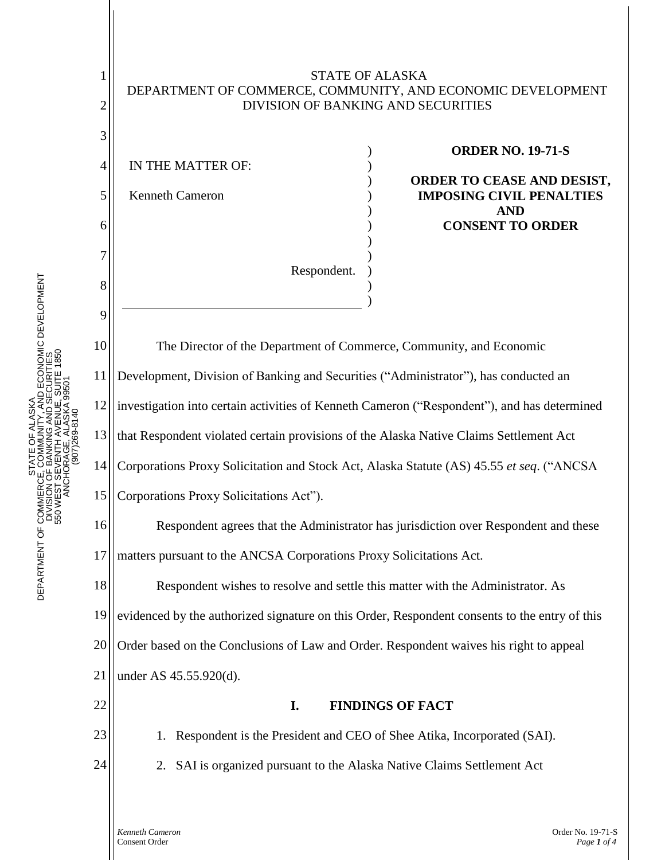

TATE OF ALASKA<br>COMMUNITY, AND ECONOMIC DEVELOPMENT<br>: BANKING AND SECURITIES<br>:VENTH AVENUE, SUITE 1850<br>DRAGE, ALASKA 99501 DEPARTMENT OF COMMERCE, COMMUNITY, AND ECONOMIC DEVELOPMENT DEPARTMENT OF COMMERCE, COMMUNITY, AND ECONOMIC DEVELOPMENT 550 WEST SEVENTH AVENUE, SUITE 1850 DIVISION OF BANKING AND SECURITIES 550 WEST SEVENTH AVENUE, SUITE 1850 DIVISION OF BANKING AND SECURITI ANCHORAGE, ALASKA 99501 ANCHORAGE, ALASKA 995 STATE OF ALASKA PHONE: (907) 269-8140 STATE OF ALASK STATE<br>DEPARTMENT OF COMMERCE, COM<br>DIVISION OF BAN<br>STATE COM<br>SOM DEPARTMENT<br>STATE<br>STATE<br>STATE

> *Kenneth Cameron* Order No. 19-71-S Consent Order *Page 1 of 4*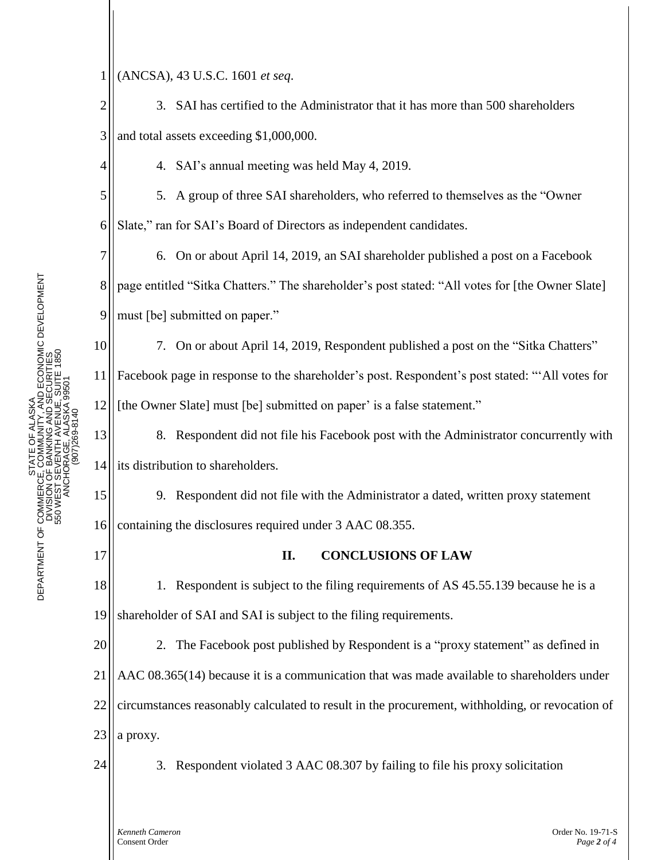1 (ANCSA), 43 U.S.C. 1601 *et seq*.

2 3 3. SAI has certified to the Administrator that it has more than 500 shareholders and total assets exceeding \$1,000,000.

4. SAI's annual meeting was held May 4, 2019.

5. A group of three SAI shareholders, who referred to themselves as the "Owner Slate," ran for SAI's Board of Directors as independent candidates.

6. On or about April 14, 2019, an SAI shareholder published a post on a Facebook page entitled "Sitka Chatters." The shareholder's post stated: "All votes for [the Owner Slate] must [be] submitted on paper."

10 11 12 7. On or about April 14, 2019, Respondent published a post on the "Sitka Chatters" Facebook page in response to the shareholder's post. Respondent's post stated: "'All votes for [the Owner Slate] must [be] submitted on paper' is a false statement."

13 14 8. Respondent did not file his Facebook post with the Administrator concurrently with its distribution to shareholders.

9. Respondent did not file with the Administrator a dated, written proxy statement containing the disclosures required under 3 AAC 08.355.

## **II. CONCLUSIONS OF LAW**

18 19 1. Respondent is subject to the filing requirements of AS 45.55.139 because he is a shareholder of SAI and SAI is subject to the filing requirements.

20 21 22 23 2. The Facebook post published by Respondent is a "proxy statement" as defined in AAC 08.365(14) because it is a communication that was made available to shareholders under circumstances reasonably calculated to result in the procurement, withholding, or revocation of a proxy.



3. Respondent violated 3 AAC 08.307 by failing to file his proxy solicitation

4

5

6

7

8

9

15

16

17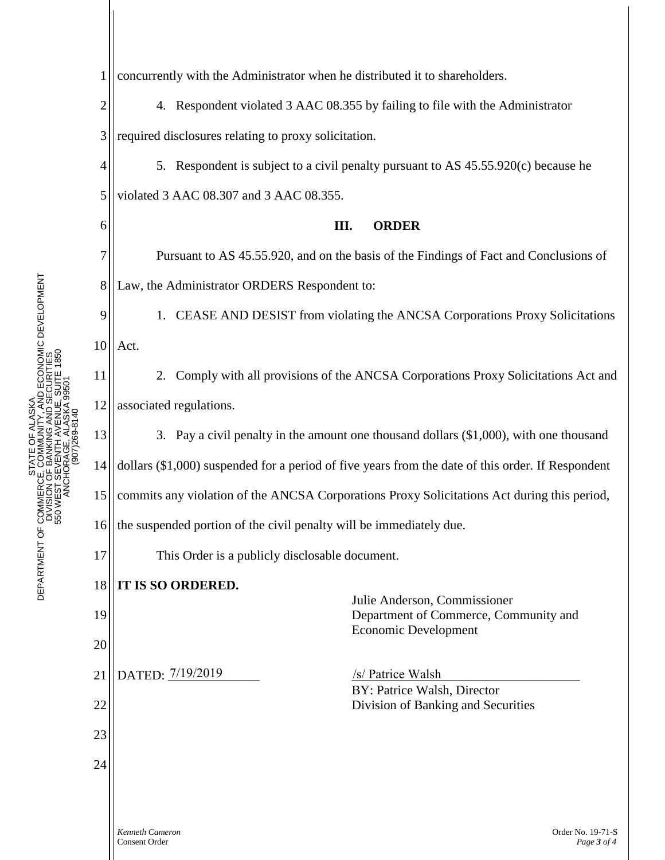*Kenneth Cameron* Order No. 19-71-S 1 2 3 4 5 6 7 8 9 10 11 12 13 14 15 16 17 18 19 20 21 22 23 24 concurrently with the Administrator when he distributed it to shareholders. 4. Respondent violated 3 AAC 08.355 by failing to file with the Administrator required disclosures relating to proxy solicitation. 5. Respondent is subject to a civil penalty pursuant to AS 45.55.920(c) because he violated 3 AAC 08.307 and 3 AAC 08.355. **III. ORDER** Pursuant to AS 45.55.920, and on the basis of the Findings of Fact and Conclusions of Law, the Administrator ORDERS Respondent to: 1. CEASE AND DESIST from violating the ANCSA Corporations Proxy Solicitations Act. 2. Comply with all provisions of the ANCSA Corporations Proxy Solicitations Act and associated regulations. 3. Pay a civil penalty in the amount one thousand dollars (\$1,000), with one thousand dollars (\$1,000) suspended for a period of five years from the date of this order. If Respondent commits any violation of the ANCSA Corporations Proxy Solicitations Act during this period, the suspended portion of the civil penalty will be immediately due. This Order is a publicly disclosable document. **IT IS SO ORDERED.** Julie Anderson, Commissioner Department of Commerce, Community and Economic Development DATED:  $7/19/2019$ BY: Patrice Walsh, Director Division of Banking and Securities /s/ Patrice Walsh